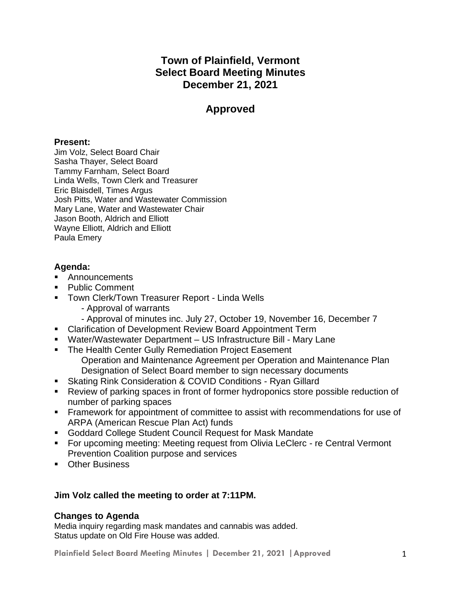# **Town of Plainfield, Vermont Select Board Meeting Minutes December 21, 2021**

# **Approved**

# **Present:**

Jim Volz, Select Board Chair Sasha Thayer, Select Board Tammy Farnham, Select Board Linda Wells, Town Clerk and Treasurer Eric Blaisdell, Times Argus Josh Pitts, Water and Wastewater Commission Mary Lane, Water and Wastewater Chair Jason Booth, Aldrich and Elliott Wayne Elliott, Aldrich and Elliott Paula Emery

# **Agenda:**

- Announcements
- Public Comment
- **Town Clerk/Town Treasurer Report Linda Wells** 
	- Approval of warrants
	- Approval of minutes inc. July 27, October 19, November 16, December 7
- Clarification of Development Review Board Appointment Term
- Water/Wastewater Department US Infrastructure Bill Mary Lane
- The Health Center Gully Remediation Project Easement Operation and Maintenance Agreement per Operation and Maintenance Plan Designation of Select Board member to sign necessary documents
- Skating Rink Consideration & COVID Conditions Ryan Gillard
- Review of parking spaces in front of former hydroponics store possible reduction of number of parking spaces
- Framework for appointment of committee to assist with recommendations for use of ARPA (American Rescue Plan Act) funds
- Goddard College Student Council Request for Mask Mandate
- For upcoming meeting: Meeting request from Olivia LeClerc re Central Vermont Prevention Coalition purpose and services
- Other Business

# **Jim Volz called the meeting to order at 7:11PM.**

# **Changes to Agenda**

Media inquiry regarding mask mandates and cannabis was added. Status update on Old Fire House was added.

**Plainfield Select Board Meeting Minutes | December 21, 2021 |Approved** 1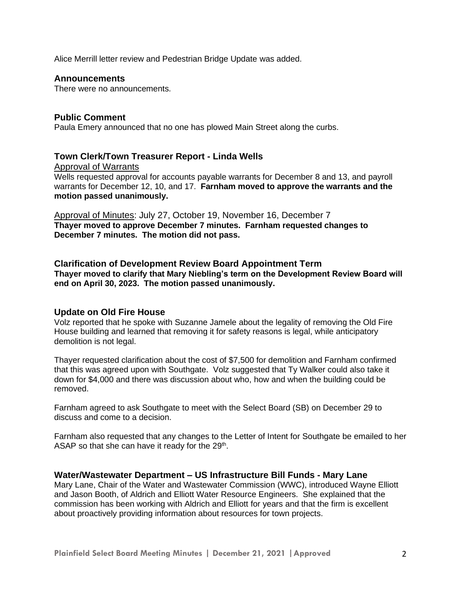Alice Merrill letter review and Pedestrian Bridge Update was added.

#### **Announcements**

There were no announcements.

## **Public Comment**

Paula Emery announced that no one has plowed Main Street along the curbs.

## **Town Clerk/Town Treasurer Report - Linda Wells**

Approval of Warrants

Wells requested approval for accounts payable warrants for December 8 and 13, and payroll warrants for December 12, 10, and 17. **Farnham moved to approve the warrants and the motion passed unanimously.**

Approval of Minutes: July 27, October 19, November 16, December 7 **Thayer moved to approve December 7 minutes. Farnham requested changes to December 7 minutes. The motion did not pass.**

**Clarification of Development Review Board Appointment Term Thayer moved to clarify that Mary Niebling's term on the Development Review Board will end on April 30, 2023. The motion passed unanimously.**

## **Update on Old Fire House**

Volz reported that he spoke with Suzanne Jamele about the legality of removing the Old Fire House building and learned that removing it for safety reasons is legal, while anticipatory demolition is not legal.

Thayer requested clarification about the cost of \$7,500 for demolition and Farnham confirmed that this was agreed upon with Southgate. Volz suggested that Ty Walker could also take it down for \$4,000 and there was discussion about who, how and when the building could be removed.

Farnham agreed to ask Southgate to meet with the Select Board (SB) on December 29 to discuss and come to a decision.

Farnham also requested that any changes to the Letter of Intent for Southgate be emailed to her ASAP so that she can have it ready for the  $29<sup>th</sup>$ .

## **Water/Wastewater Department – US Infrastructure Bill Funds - Mary Lane**

Mary Lane, Chair of the Water and Wastewater Commission (WWC), introduced Wayne Elliott and Jason Booth, of Aldrich and Elliott Water Resource Engineers. She explained that the commission has been working with Aldrich and Elliott for years and that the firm is excellent about proactively providing information about resources for town projects.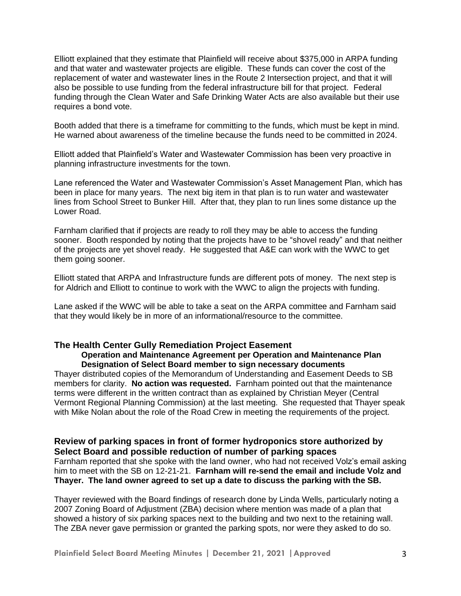Elliott explained that they estimate that Plainfield will receive about \$375,000 in ARPA funding and that water and wastewater projects are eligible. These funds can cover the cost of the replacement of water and wastewater lines in the Route 2 Intersection project, and that it will also be possible to use funding from the federal infrastructure bill for that project. Federal funding through the Clean Water and Safe Drinking Water Acts are also available but their use requires a bond vote.

Booth added that there is a timeframe for committing to the funds, which must be kept in mind. He warned about awareness of the timeline because the funds need to be committed in 2024.

Elliott added that Plainfield's Water and Wastewater Commission has been very proactive in planning infrastructure investments for the town.

Lane referenced the Water and Wastewater Commission's Asset Management Plan, which has been in place for many years. The next big item in that plan is to run water and wastewater lines from School Street to Bunker Hill. After that, they plan to run lines some distance up the Lower Road.

Farnham clarified that if projects are ready to roll they may be able to access the funding sooner. Booth responded by noting that the projects have to be "shovel ready" and that neither of the projects are yet shovel ready. He suggested that A&E can work with the WWC to get them going sooner.

Elliott stated that ARPA and Infrastructure funds are different pots of money. The next step is for Aldrich and Elliott to continue to work with the WWC to align the projects with funding.

Lane asked if the WWC will be able to take a seat on the ARPA committee and Farnham said that they would likely be in more of an informational/resource to the committee.

# **The Health Center Gully Remediation Project Easement**

#### **Operation and Maintenance Agreement per Operation and Maintenance Plan Designation of Select Board member to sign necessary documents**

Thayer distributed copies of the Memorandum of Understanding and Easement Deeds to SB members for clarity. **No action was requested.** Farnham pointed out that the maintenance terms were different in the written contract than as explained by Christian Meyer (Central Vermont Regional Planning Commission) at the last meeting. She requested that Thayer speak with Mike Nolan about the role of the Road Crew in meeting the requirements of the project.

## **Review of parking spaces in front of former hydroponics store authorized by Select Board and possible reduction of number of parking spaces**

Farnham reported that she spoke with the land owner, who had not received Volz's email asking him to meet with the SB on 12-21-21. **Farnham will re-send the email and include Volz and Thayer. The land owner agreed to set up a date to discuss the parking with the SB.**

Thayer reviewed with the Board findings of research done by Linda Wells, particularly noting a 2007 Zoning Board of Adjustment (ZBA) decision where mention was made of a plan that showed a history of six parking spaces next to the building and two next to the retaining wall. The ZBA never gave permission or granted the parking spots, nor were they asked to do so.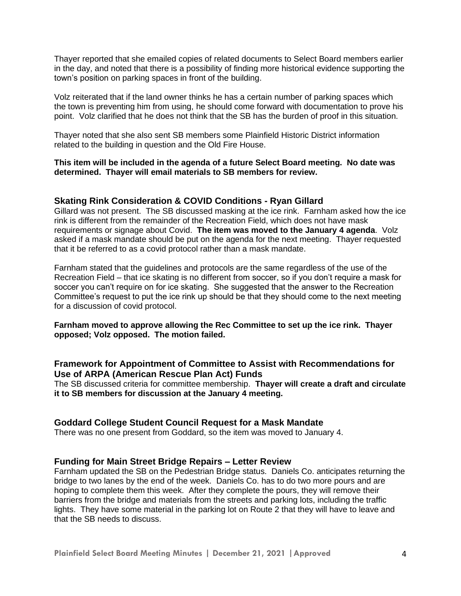Thayer reported that she emailed copies of related documents to Select Board members earlier in the day, and noted that there is a possibility of finding more historical evidence supporting the town's position on parking spaces in front of the building.

Volz reiterated that if the land owner thinks he has a certain number of parking spaces which the town is preventing him from using, he should come forward with documentation to prove his point. Volz clarified that he does not think that the SB has the burden of proof in this situation.

Thayer noted that she also sent SB members some Plainfield Historic District information related to the building in question and the Old Fire House.

#### **This item will be included in the agenda of a future Select Board meeting. No date was determined. Thayer will email materials to SB members for review.**

#### **Skating Rink Consideration & COVID Conditions - Ryan Gillard**

Gillard was not present. The SB discussed masking at the ice rink. Farnham asked how the ice rink is different from the remainder of the Recreation Field, which does not have mask requirements or signage about Covid. **The item was moved to the January 4 agenda**. Volz asked if a mask mandate should be put on the agenda for the next meeting. Thayer requested that it be referred to as a covid protocol rather than a mask mandate.

Farnham stated that the guidelines and protocols are the same regardless of the use of the Recreation Field – that ice skating is no different from soccer, so if you don't require a mask for soccer you can't require on for ice skating. She suggested that the answer to the Recreation Committee's request to put the ice rink up should be that they should come to the next meeting for a discussion of covid protocol.

#### **Farnham moved to approve allowing the Rec Committee to set up the ice rink. Thayer opposed; Volz opposed. The motion failed.**

## **Framework for Appointment of Committee to Assist with Recommendations for Use of ARPA (American Rescue Plan Act) Funds**

The SB discussed criteria for committee membership. **Thayer will create a draft and circulate it to SB members for discussion at the January 4 meeting.**

#### **Goddard College Student Council Request for a Mask Mandate**

There was no one present from Goddard, so the item was moved to January 4.

#### **Funding for Main Street Bridge Repairs – Letter Review**

Farnham updated the SB on the Pedestrian Bridge status. Daniels Co. anticipates returning the bridge to two lanes by the end of the week. Daniels Co. has to do two more pours and are hoping to complete them this week. After they complete the pours, they will remove their barriers from the bridge and materials from the streets and parking lots, including the traffic lights. They have some material in the parking lot on Route 2 that they will have to leave and that the SB needs to discuss.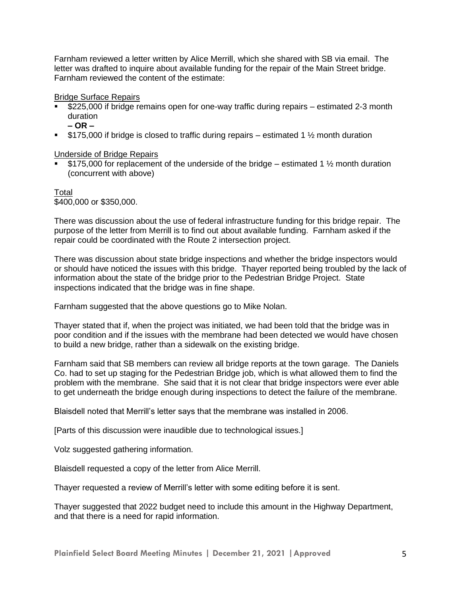Farnham reviewed a letter written by Alice Merrill, which she shared with SB via email. The letter was drafted to inquire about available funding for the repair of the Main Street bridge. Farnham reviewed the content of the estimate:

#### Bridge Surface Repairs

- \$225,000 if bridge remains open for one-way traffic during repairs estimated 2-3 month duration
	- **– OR –**
- **•** \$175,000 if bridge is closed to traffic during repairs estimated 1  $\frac{1}{2}$  month duration

Underside of Bridge Repairs

**•** \$175,000 for replacement of the underside of the bridge – estimated 1  $\frac{1}{2}$  month duration (concurrent with above)

Total \$400,000 or \$350,000.

There was discussion about the use of federal infrastructure funding for this bridge repair. The purpose of the letter from Merrill is to find out about available funding. Farnham asked if the repair could be coordinated with the Route 2 intersection project.

There was discussion about state bridge inspections and whether the bridge inspectors would or should have noticed the issues with this bridge. Thayer reported being troubled by the lack of information about the state of the bridge prior to the Pedestrian Bridge Project. State inspections indicated that the bridge was in fine shape.

Farnham suggested that the above questions go to Mike Nolan.

Thayer stated that if, when the project was initiated, we had been told that the bridge was in poor condition and if the issues with the membrane had been detected we would have chosen to build a new bridge, rather than a sidewalk on the existing bridge.

Farnham said that SB members can review all bridge reports at the town garage. The Daniels Co. had to set up staging for the Pedestrian Bridge job, which is what allowed them to find the problem with the membrane. She said that it is not clear that bridge inspectors were ever able to get underneath the bridge enough during inspections to detect the failure of the membrane.

Blaisdell noted that Merrill's letter says that the membrane was installed in 2006.

[Parts of this discussion were inaudible due to technological issues.]

Volz suggested gathering information.

Blaisdell requested a copy of the letter from Alice Merrill.

Thayer requested a review of Merrill's letter with some editing before it is sent.

Thayer suggested that 2022 budget need to include this amount in the Highway Department, and that there is a need for rapid information.